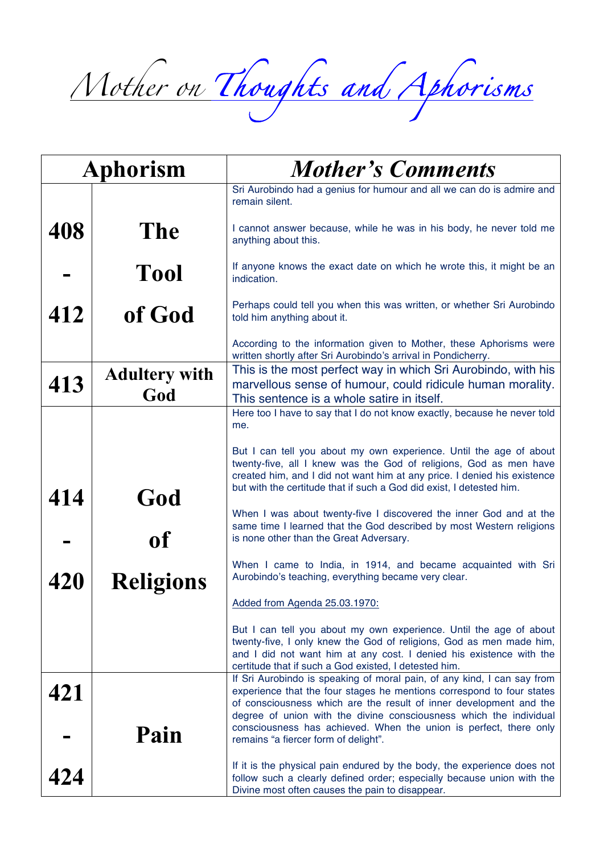*Mother on Thoughts and Aphorisms*

| Aphorism |                             | <b>Mother's Comments</b>                                                                                                                                                                                                                                                                     |
|----------|-----------------------------|----------------------------------------------------------------------------------------------------------------------------------------------------------------------------------------------------------------------------------------------------------------------------------------------|
|          |                             | Sri Aurobindo had a genius for humour and all we can do is admire and<br>remain silent.                                                                                                                                                                                                      |
| 408      | <b>The</b>                  | I cannot answer because, while he was in his body, he never told me<br>anything about this.                                                                                                                                                                                                  |
|          | <b>Tool</b>                 | If anyone knows the exact date on which he wrote this, it might be an<br>indication.                                                                                                                                                                                                         |
| 412      | of God                      | Perhaps could tell you when this was written, or whether Sri Aurobindo<br>told him anything about it.                                                                                                                                                                                        |
|          |                             | According to the information given to Mother, these Aphorisms were<br>written shortly after Sri Aurobindo's arrival in Pondicherry.                                                                                                                                                          |
| 413      | <b>Adultery with</b><br>God | This is the most perfect way in which Sri Aurobindo, with his<br>marvellous sense of humour, could ridicule human morality.<br>This sentence is a whole satire in itself.                                                                                                                    |
|          |                             | Here too I have to say that I do not know exactly, because he never told<br>me.                                                                                                                                                                                                              |
| 414      | God                         | But I can tell you about my own experience. Until the age of about<br>twenty-five, all I knew was the God of religions, God as men have<br>created him, and I did not want him at any price. I denied his existence<br>but with the certitude that if such a God did exist, I detested him.  |
|          | of                          | When I was about twenty-five I discovered the inner God and at the<br>same time I learned that the God described by most Western religions<br>is none other than the Great Adversary.                                                                                                        |
| 420      | <b>Religions</b>            | When I came to India, in 1914, and became acquainted with Sri<br>Aurobindo's teaching, everything became very clear.                                                                                                                                                                         |
|          |                             | Added from Agenda 25.03.1970:                                                                                                                                                                                                                                                                |
|          |                             | But I can tell you about my own experience. Until the age of about<br>twenty-five, I only knew the God of religions, God as men made him,<br>and I did not want him at any cost. I denied his existence with the<br>certitude that if such a God existed, I detested him.                    |
| 421      |                             | If Sri Aurobindo is speaking of moral pain, of any kind, I can say from<br>experience that the four stages he mentions correspond to four states<br>of consciousness which are the result of inner development and the<br>degree of union with the divine consciousness which the individual |
|          | Pain                        | consciousness has achieved. When the union is perfect, there only<br>remains "a fiercer form of delight".                                                                                                                                                                                    |
| 424      |                             | If it is the physical pain endured by the body, the experience does not<br>follow such a clearly defined order; especially because union with the<br>Divine most often causes the pain to disappear.                                                                                         |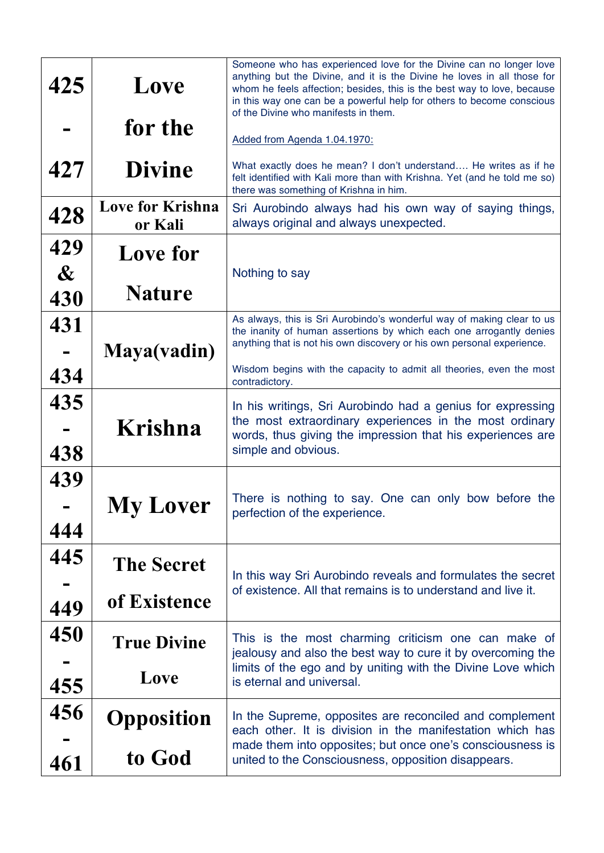| 425                      | Love                               | Someone who has experienced love for the Divine can no longer love<br>anything but the Divine, and it is the Divine he loves in all those for<br>whom he feels affection; besides, this is the best way to love, because<br>in this way one can be a powerful help for others to become conscious<br>of the Divine who manifests in them. |
|--------------------------|------------------------------------|-------------------------------------------------------------------------------------------------------------------------------------------------------------------------------------------------------------------------------------------------------------------------------------------------------------------------------------------|
|                          | for the                            | Added from Agenda 1.04.1970:                                                                                                                                                                                                                                                                                                              |
| 427                      | <b>Divine</b>                      | What exactly does he mean? I don't understand He writes as if he<br>felt identified with Kali more than with Krishna. Yet (and he told me so)<br>there was something of Krishna in him.                                                                                                                                                   |
| 428                      | <b>Love for Krishna</b><br>or Kali | Sri Aurobindo always had his own way of saying things,<br>always original and always unexpected.                                                                                                                                                                                                                                          |
| 429<br>$\boldsymbol{\&}$ | Love for                           | Nothing to say                                                                                                                                                                                                                                                                                                                            |
| 430                      | <b>Nature</b>                      |                                                                                                                                                                                                                                                                                                                                           |
| 431                      | Maya(vadin)                        | As always, this is Sri Aurobindo's wonderful way of making clear to us<br>the inanity of human assertions by which each one arrogantly denies<br>anything that is not his own discovery or his own personal experience.                                                                                                                   |
| 434                      |                                    | Wisdom begins with the capacity to admit all theories, even the most<br>contradictory.                                                                                                                                                                                                                                                    |
| 435<br>438               | Krishna                            | In his writings, Sri Aurobindo had a genius for expressing<br>the most extraordinary experiences in the most ordinary<br>words, thus giving the impression that his experiences are<br>simple and obvious.                                                                                                                                |
| 439<br>444               | <b>My Lover</b>                    | There is nothing to say. One can only bow before the<br>perfection of the experience.                                                                                                                                                                                                                                                     |
| 445<br>449               | <b>The Secret</b><br>of Existence  | In this way Sri Aurobindo reveals and formulates the secret<br>of existence. All that remains is to understand and live it.                                                                                                                                                                                                               |
| 450<br>455               | <b>True Divine</b><br>Love         | This is the most charming criticism one can make of<br>jealousy and also the best way to cure it by overcoming the<br>limits of the ego and by uniting with the Divine Love which<br>is eternal and universal.                                                                                                                            |
| 456<br>461               | <b>Opposition</b><br>to God        | In the Supreme, opposites are reconciled and complement<br>each other. It is division in the manifestation which has<br>made them into opposites; but once one's consciousness is<br>united to the Consciousness, opposition disappears.                                                                                                  |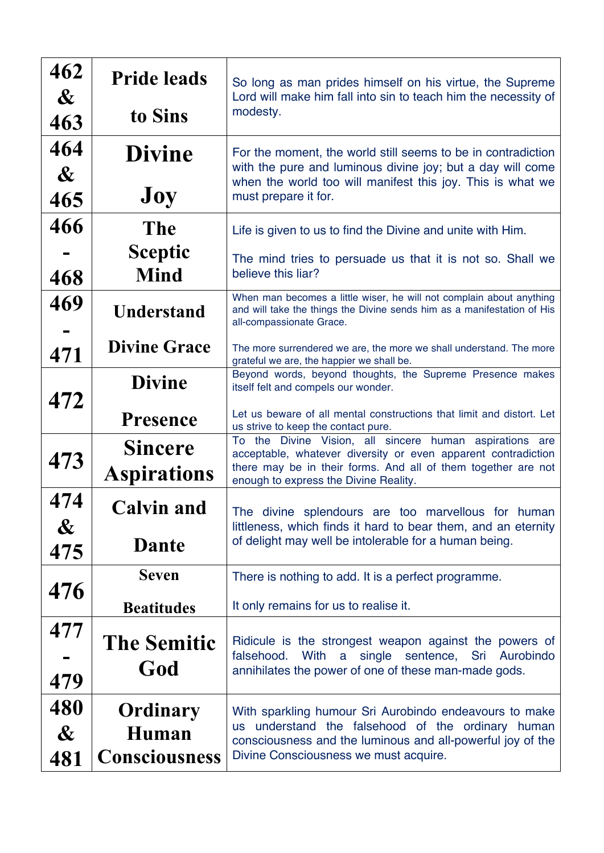| 462<br>$\boldsymbol{\alpha}$        | <b>Pride leads</b>                        | So long as man prides himself on his virtue, the Supreme<br>Lord will make him fall into sin to teach him the necessity of<br>modesty.                                                                                             |
|-------------------------------------|-------------------------------------------|------------------------------------------------------------------------------------------------------------------------------------------------------------------------------------------------------------------------------------|
| 463                                 | to Sins                                   |                                                                                                                                                                                                                                    |
| 464<br>$\boldsymbol{\&}$<br>465     | <b>Divine</b><br>Joy                      | For the moment, the world still seems to be in contradiction<br>with the pure and luminous divine joy; but a day will come<br>when the world too will manifest this joy. This is what we<br>must prepare it for.                   |
| 466                                 | <b>The</b>                                | Life is given to us to find the Divine and unite with Him.                                                                                                                                                                         |
| 468                                 | <b>Sceptic</b><br><b>Mind</b>             | The mind tries to persuade us that it is not so. Shall we<br>believe this liar?                                                                                                                                                    |
| 469                                 | <b>Understand</b>                         | When man becomes a little wiser, he will not complain about anything<br>and will take the things the Divine sends him as a manifestation of His<br>all-compassionate Grace.                                                        |
| 471                                 | <b>Divine Grace</b>                       | The more surrendered we are, the more we shall understand. The more<br>grateful we are, the happier we shall be.                                                                                                                   |
| 472                                 | <b>Divine</b>                             | Beyond words, beyond thoughts, the Supreme Presence makes<br>itself felt and compels our wonder.                                                                                                                                   |
|                                     | <b>Presence</b>                           | Let us beware of all mental constructions that limit and distort. Let<br>us strive to keep the contact pure.                                                                                                                       |
| 473                                 | <b>Sincere</b><br><b>Aspirations</b>      | To the Divine Vision, all sincere human aspirations are<br>acceptable, whatever diversity or even apparent contradiction<br>there may be in their forms. And all of them together are not<br>enough to express the Divine Reality. |
| 474<br>$\boldsymbol{\&}$            | <b>Calvin and</b>                         | The divine splendours are too marvellous for human<br>littleness, which finds it hard to bear them, and an eternity<br>of delight may well be intolerable for a human being.                                                       |
| 475                                 | <b>Dante</b>                              |                                                                                                                                                                                                                                    |
| 476                                 | <b>Seven</b>                              | There is nothing to add. It is a perfect programme.                                                                                                                                                                                |
|                                     | <b>Beatitudes</b>                         | It only remains for us to realise it.                                                                                                                                                                                              |
| 477<br>479                          | <b>The Semitic</b><br>God                 | Ridicule is the strongest weapon against the powers of<br>falsehood.<br>With<br>a<br>single sentence, Sri<br>Aurobindo<br>annihilates the power of one of these man-made gods.                                                     |
| 480<br>$\boldsymbol{\alpha}$<br>481 | Ordinary<br>Human<br><b>Consciousness</b> | With sparkling humour Sri Aurobindo endeavours to make<br>us understand the falsehood of the ordinary human<br>consciousness and the luminous and all-powerful joy of the<br>Divine Consciousness we must acquire.                 |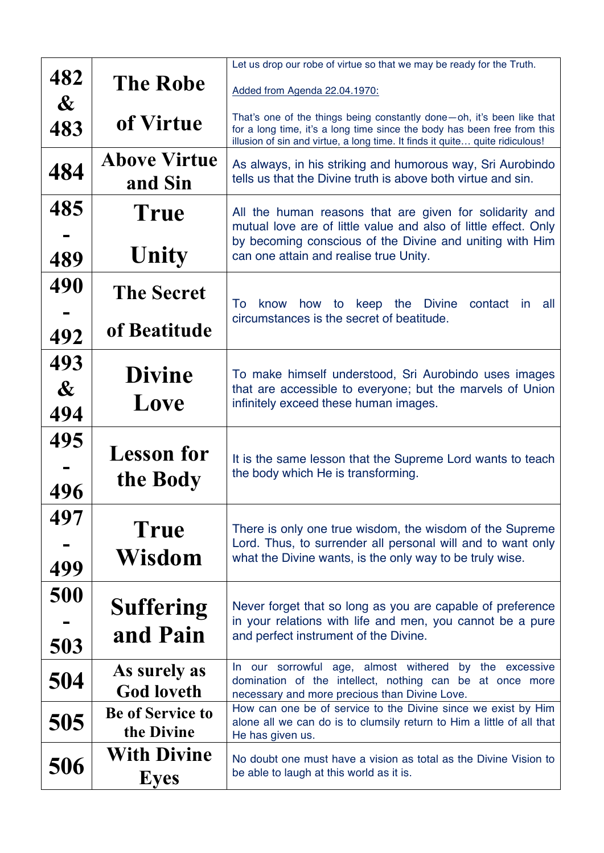|                                     |                                       | Let us drop our robe of virtue so that we may be ready for the Truth.                                                                                                                                                              |
|-------------------------------------|---------------------------------------|------------------------------------------------------------------------------------------------------------------------------------------------------------------------------------------------------------------------------------|
| 482<br>$\boldsymbol{\alpha}$        | <b>The Robe</b>                       | Added from Agenda 22.04.1970:                                                                                                                                                                                                      |
| 483                                 | of Virtue                             | That's one of the things being constantly done-oh, it's been like that<br>for a long time, it's a long time since the body has been free from this<br>illusion of sin and virtue, a long time. It finds it quite quite ridiculous! |
| 484                                 | <b>Above Virtue</b><br>and Sin        | As always, in his striking and humorous way, Sri Aurobindo<br>tells us that the Divine truth is above both virtue and sin.                                                                                                         |
| 485                                 | True                                  | All the human reasons that are given for solidarity and<br>mutual love are of little value and also of little effect. Only<br>by becoming conscious of the Divine and uniting with Him                                             |
| 489                                 | Unity                                 | can one attain and realise true Unity.                                                                                                                                                                                             |
| 490                                 | <b>The Secret</b>                     | To<br>know how to keep the Divine<br>contact<br>all<br>In                                                                                                                                                                          |
| 492                                 | of Beatitude                          | circumstances is the secret of beatitude.                                                                                                                                                                                          |
| 493<br>$\boldsymbol{\alpha}$<br>494 | <b>Divine</b><br>Love                 | To make himself understood, Sri Aurobindo uses images<br>that are accessible to everyone; but the marvels of Union<br>infinitely exceed these human images.                                                                        |
| 495<br>496                          | <b>Lesson for</b><br>the Body         | It is the same lesson that the Supreme Lord wants to teach<br>the body which He is transforming.                                                                                                                                   |
| 497<br>499                          | <b>True</b><br>Wisdom                 | There is only one true wisdom, the wisdom of the Supreme<br>Lord. Thus, to surrender all personal will and to want only<br>what the Divine wants, is the only way to be truly wise.                                                |
| 500<br>503                          | <b>Suffering</b><br>and Pain          | Never forget that so long as you are capable of preference<br>in your relations with life and men, you cannot be a pure<br>and perfect instrument of the Divine.                                                                   |
| 504                                 | As surely as<br><b>God loveth</b>     | In our sorrowful age, almost withered by the excessive<br>domination of the intellect, nothing can be at once more<br>necessary and more precious than Divine Love.                                                                |
| 505                                 | <b>Be of Service to</b><br>the Divine | How can one be of service to the Divine since we exist by Him<br>alone all we can do is to clumsily return to Him a little of all that<br>He has given us.                                                                         |
| 506                                 | <b>With Divine</b><br><b>Eyes</b>     | No doubt one must have a vision as total as the Divine Vision to<br>be able to laugh at this world as it is.                                                                                                                       |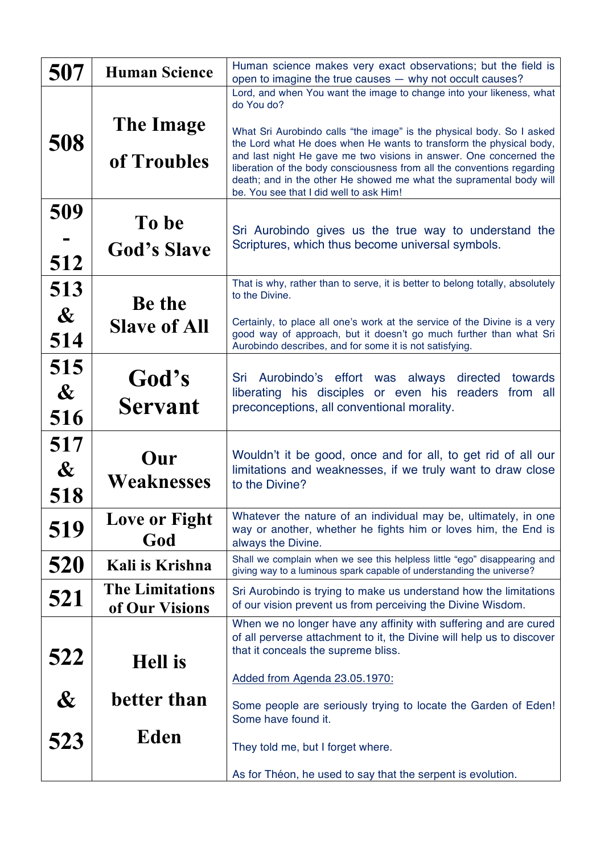| 507                                 | <b>Human Science</b>                     | Human science makes very exact observations; but the field is<br>open to imagine the true causes - why not occult causes?                                                                                                                                                                                                                                                                                       |
|-------------------------------------|------------------------------------------|-----------------------------------------------------------------------------------------------------------------------------------------------------------------------------------------------------------------------------------------------------------------------------------------------------------------------------------------------------------------------------------------------------------------|
|                                     |                                          | Lord, and when You want the image to change into your likeness, what<br>do You do?                                                                                                                                                                                                                                                                                                                              |
| 508                                 | The Image<br>of Troubles                 | What Sri Aurobindo calls "the image" is the physical body. So I asked<br>the Lord what He does when He wants to transform the physical body,<br>and last night He gave me two visions in answer. One concerned the<br>liberation of the body consciousness from all the conventions regarding<br>death; and in the other He showed me what the supramental body will<br>be. You see that I did well to ask Him! |
| 509<br>512                          | To be<br><b>God's Slave</b>              | Sri Aurobindo gives us the true way to understand the<br>Scriptures, which thus become universal symbols.                                                                                                                                                                                                                                                                                                       |
| 513<br>$\boldsymbol{\alpha}$        | <b>Be the</b>                            | That is why, rather than to serve, it is better to belong totally, absolutely<br>to the Divine.                                                                                                                                                                                                                                                                                                                 |
| 514                                 | <b>Slave of All</b>                      | Certainly, to place all one's work at the service of the Divine is a very<br>good way of approach, but it doesn't go much further than what Sri<br>Aurobindo describes, and for some it is not satisfying.                                                                                                                                                                                                      |
| 515<br>$\boldsymbol{\alpha}$<br>516 | God's<br><b>Servant</b>                  | Sri Aurobindo's effort was always<br>towards<br>directed<br>liberating his disciples or even his readers from all<br>preconceptions, all conventional morality.                                                                                                                                                                                                                                                 |
| 517<br>$\boldsymbol{\alpha}$<br>518 | Our<br>Weaknesses                        | Wouldn't it be good, once and for all, to get rid of all our<br>limitations and weaknesses, if we truly want to draw close<br>to the Divine?                                                                                                                                                                                                                                                                    |
| 519                                 | Love or Fight<br>God                     | Whatever the nature of an individual may be, ultimately, in one<br>way or another, whether he fights him or loves him, the End is<br>always the Divine.                                                                                                                                                                                                                                                         |
| 520                                 | Kali is Krishna                          | Shall we complain when we see this helpless little "ego" disappearing and<br>giving way to a luminous spark capable of understanding the universe?                                                                                                                                                                                                                                                              |
| 521                                 | <b>The Limitations</b><br>of Our Visions | Sri Aurobindo is trying to make us understand how the limitations<br>of our vision prevent us from perceiving the Divine Wisdom.                                                                                                                                                                                                                                                                                |
| 522                                 | <b>Hell</b> is                           | When we no longer have any affinity with suffering and are cured<br>of all perverse attachment to it, the Divine will help us to discover<br>that it conceals the supreme bliss.<br>Added from Agenda 23.05.1970:                                                                                                                                                                                               |
| $\boldsymbol{\&}$                   | better than                              | Some people are seriously trying to locate the Garden of Eden!<br>Some have found it.                                                                                                                                                                                                                                                                                                                           |
| 523                                 | <b>Eden</b>                              | They told me, but I forget where.                                                                                                                                                                                                                                                                                                                                                                               |
|                                     |                                          | As for Théon, he used to say that the serpent is evolution.                                                                                                                                                                                                                                                                                                                                                     |